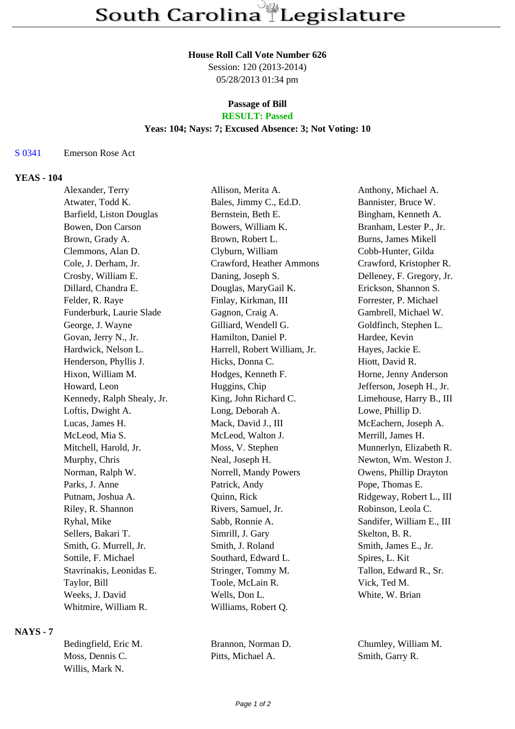#### **House Roll Call Vote Number 626**

Session: 120 (2013-2014) 05/28/2013 01:34 pm

## **Passage of Bill**

# **RESULT: Passed**

# **Yeas: 104; Nays: 7; Excused Absence: 3; Not Voting: 10**

#### S 0341 Emerson Rose Act

#### **YEAS - 104**

| Alexander, Terry           | Allison, Merita A.           | Anthony, Michael A.       |
|----------------------------|------------------------------|---------------------------|
| Atwater, Todd K.           | Bales, Jimmy C., Ed.D.       | Bannister, Bruce W.       |
| Barfield, Liston Douglas   | Bernstein, Beth E.           | Bingham, Kenneth A.       |
| Bowen, Don Carson          | Bowers, William K.           | Branham, Lester P., Jr.   |
| Brown, Grady A.            | Brown, Robert L.             | Burns, James Mikell       |
| Clemmons, Alan D.          | Clyburn, William             | Cobb-Hunter, Gilda        |
| Cole, J. Derham, Jr.       | Crawford, Heather Ammons     | Crawford, Kristopher R.   |
| Crosby, William E.         | Daning, Joseph S.            | Delleney, F. Gregory, Jr. |
| Dillard, Chandra E.        | Douglas, MaryGail K.         | Erickson, Shannon S.      |
| Felder, R. Raye            | Finlay, Kirkman, III         | Forrester, P. Michael     |
| Funderburk, Laurie Slade   | Gagnon, Craig A.             | Gambrell, Michael W.      |
| George, J. Wayne           | Gilliard, Wendell G.         | Goldfinch, Stephen L.     |
| Govan, Jerry N., Jr.       | Hamilton, Daniel P.          | Hardee, Kevin             |
| Hardwick, Nelson L.        | Harrell, Robert William, Jr. | Hayes, Jackie E.          |
| Henderson, Phyllis J.      | Hicks, Donna C.              | Hiott, David R.           |
| Hixon, William M.          | Hodges, Kenneth F.           | Horne, Jenny Anderson     |
| Howard, Leon               | Huggins, Chip                | Jefferson, Joseph H., Jr. |
| Kennedy, Ralph Shealy, Jr. | King, John Richard C.        | Limehouse, Harry B., III  |
| Loftis, Dwight A.          | Long, Deborah A.             | Lowe, Phillip D.          |
| Lucas, James H.            | Mack, David J., III          | McEachern, Joseph A.      |
| McLeod, Mia S.             | McLeod, Walton J.            | Merrill, James H.         |
| Mitchell, Harold, Jr.      | Moss, V. Stephen             | Munnerlyn, Elizabeth R.   |
| Murphy, Chris              | Neal, Joseph H.              | Newton, Wm. Weston J.     |
| Norman, Ralph W.           | Norrell, Mandy Powers        | Owens, Phillip Drayton    |
| Parks, J. Anne             | Patrick, Andy                | Pope, Thomas E.           |
| Putnam, Joshua A.          | Quinn, Rick                  | Ridgeway, Robert L., III  |
| Riley, R. Shannon          | Rivers, Samuel, Jr.          | Robinson, Leola C.        |
| Ryhal, Mike                | Sabb, Ronnie A.              | Sandifer, William E., III |
| Sellers, Bakari T.         | Simrill, J. Gary             | Skelton, B. R.            |
| Smith, G. Murrell, Jr.     | Smith, J. Roland             | Smith, James E., Jr.      |
| Sottile, F. Michael        | Southard, Edward L.          | Spires, L. Kit            |
| Stavrinakis, Leonidas E.   | Stringer, Tommy M.           | Tallon, Edward R., Sr.    |
| Taylor, Bill               | Toole, McLain R.             | Vick, Ted M.              |
| Weeks, J. David            | Wells, Don L.                | White, W. Brian           |
| Whitmire, William R.       | Williams, Robert Q.          |                           |

#### **NAYS - 7**

| Bedingfield, Eric M. |  |
|----------------------|--|
| Moss. Dennis C.      |  |
| Willis, Mark N.      |  |

Pitts, Michael A. Smith, Garry R.

Brannon, Norman D. Chumley, William M.